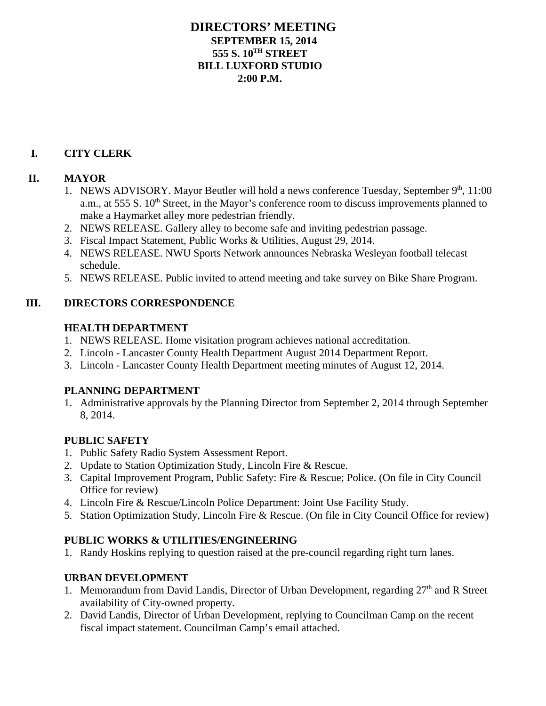## **DIRECTORS' MEETING SEPTEMBER 15, 2014 555 S. 10TH STREET BILL LUXFORD STUDIO 2:00 P.M.**

# **I. CITY CLERK**

## **II. MAYOR**

- 1. NEWS ADVISORY. Mayor Beutler will hold a news conference Tuesday, September 9<sup>th</sup>, 11:00 a.m., at 555 S.  $10<sup>th</sup>$  Street, in the Mayor's conference room to discuss improvements planned to make a Haymarket alley more pedestrian friendly.
- 2. NEWS RELEASE. Gallery alley to become safe and inviting pedestrian passage.
- 3. Fiscal Impact Statement, Public Works & Utilities, August 29, 2014.
- 4. NEWS RELEASE. NWU Sports Network announces Nebraska Wesleyan football telecast schedule.
- 5. NEWS RELEASE. Public invited to attend meeting and take survey on Bike Share Program.

## **III. DIRECTORS CORRESPONDENCE**

## **HEALTH DEPARTMENT**

- 1. NEWS RELEASE. Home visitation program achieves national accreditation.
- 2. Lincoln Lancaster County Health Department August 2014 Department Report.
- 3. Lincoln Lancaster County Health Department meeting minutes of August 12, 2014.

# **PLANNING DEPARTMENT**

1. Administrative approvals by the Planning Director from September 2, 2014 through September 8, 2014.

# **PUBLIC SAFETY**

- 1. Public Safety Radio System Assessment Report.
- 2. Update to Station Optimization Study, Lincoln Fire & Rescue.
- 3. Capital Improvement Program, Public Safety: Fire & Rescue; Police. (On file in City Council Office for review)
- 4. Lincoln Fire & Rescue/Lincoln Police Department: Joint Use Facility Study.
- 5. Station Optimization Study, Lincoln Fire & Rescue. (On file in City Council Office for review)

# **PUBLIC WORKS & UTILITIES/ENGINEERING**

1. Randy Hoskins replying to question raised at the pre-council regarding right turn lanes.

# **URBAN DEVELOPMENT**

- 1. Memorandum from David Landis, Director of Urban Development, regarding  $27<sup>th</sup>$  and R Street availability of City-owned property.
- 2. David Landis, Director of Urban Development, replying to Councilman Camp on the recent fiscal impact statement. Councilman Camp's email attached.